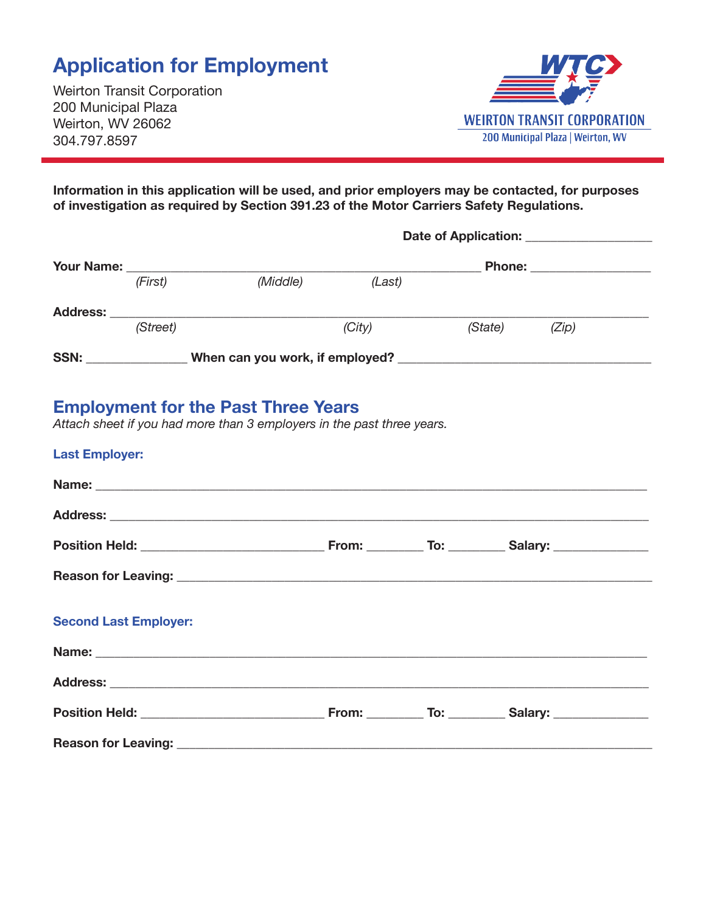# **Application for Employment**

Weirton Transit Corporation 200 Municipal Plaza Weirton, WV 26062 304.797.8597

**Reason for Leaving:** 



**Information in this application will be used, and prior employers may be contacted, for purposes of investigation as required by Section 391.23 of the Motor Carriers Safety Regulations.** 

|                              | (First)  | (Middle)                                                                                                                                                                                                                            | (Last) |  |               |                                                                                                     |
|------------------------------|----------|-------------------------------------------------------------------------------------------------------------------------------------------------------------------------------------------------------------------------------------|--------|--|---------------|-----------------------------------------------------------------------------------------------------|
|                              |          |                                                                                                                                                                                                                                     |        |  |               |                                                                                                     |
|                              | (Street) |                                                                                                                                                                                                                                     | (City) |  | (State) (Zip) |                                                                                                     |
|                              |          |                                                                                                                                                                                                                                     |        |  |               |                                                                                                     |
| <b>Last Employer:</b>        |          | <b>Employment for the Past Three Years</b><br>Attach sheet if you had more than 3 employers in the past three years.                                                                                                                |        |  |               |                                                                                                     |
|                              |          |                                                                                                                                                                                                                                     |        |  |               |                                                                                                     |
|                              |          |                                                                                                                                                                                                                                     |        |  |               | Position Held: _________________________________From: __________ To: __________Salary: ____________ |
|                              |          |                                                                                                                                                                                                                                     |        |  |               |                                                                                                     |
| <b>Second Last Employer:</b> |          |                                                                                                                                                                                                                                     |        |  |               |                                                                                                     |
|                              |          | Name: <u>Name:</u> Name: Name: Name: Name: Name: Name: Name: Name: Name: Name: Name: Name: Name: Name: Name: Name: Name: Name: Name: Name: Name: Name: Name: Name: Name: Name: Name: Name: Name: Name: Name: Name: Name: Name: Name |        |  |               |                                                                                                     |
|                              |          |                                                                                                                                                                                                                                     |        |  |               |                                                                                                     |
|                              |          |                                                                                                                                                                                                                                     |        |  |               |                                                                                                     |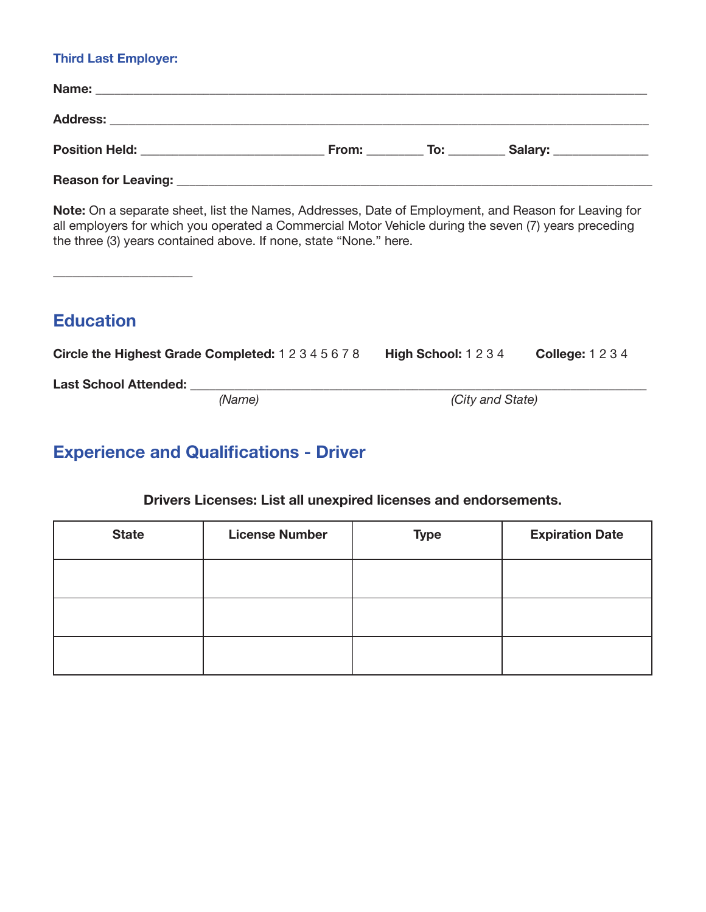#### **Third Last Employer:**

| Name:                      |              |                    |             |
|----------------------------|--------------|--------------------|-------------|
|                            |              |                    |             |
| <b>Position Held:</b>      | <b>From:</b> | $\overline{a}$ To: | Salary: ___ |
| <b>Reason for Leaving:</b> |              |                    |             |

**Note:** On a separate sheet, list the Names, Addresses, Date of Employment, and Reason for Leaving for all employers for which you operated a Commercial Motor Vehicle during the seven (7) years preceding the three (3) years contained above. If none, state "None." here.

 $\_$ 

### **Education**

**Circle the Highest Grade Completed:** 1 2 3 4 5 6 7 8 **High School:** 1 2 3 4 **College:** 1 2 3 4

**Last School Attended:** \_\_\_\_\_\_\_\_\_\_\_\_\_\_\_\_\_\_\_\_\_\_\_\_\_\_\_\_\_\_\_\_\_\_\_\_\_\_\_\_\_\_\_\_\_\_\_\_\_\_\_\_\_\_\_\_\_\_\_\_\_\_\_\_\_\_\_\_\_\_\_\_

*(City and State)* 

## **Experience and Qualifications - Driver**

#### **Drivers Licenses: List all unexpired licenses and endorsements.**

| <b>State</b> | <b>License Number</b> | <b>Type</b> | <b>Expiration Date</b> |
|--------------|-----------------------|-------------|------------------------|
|              |                       |             |                        |
|              |                       |             |                        |
|              |                       |             |                        |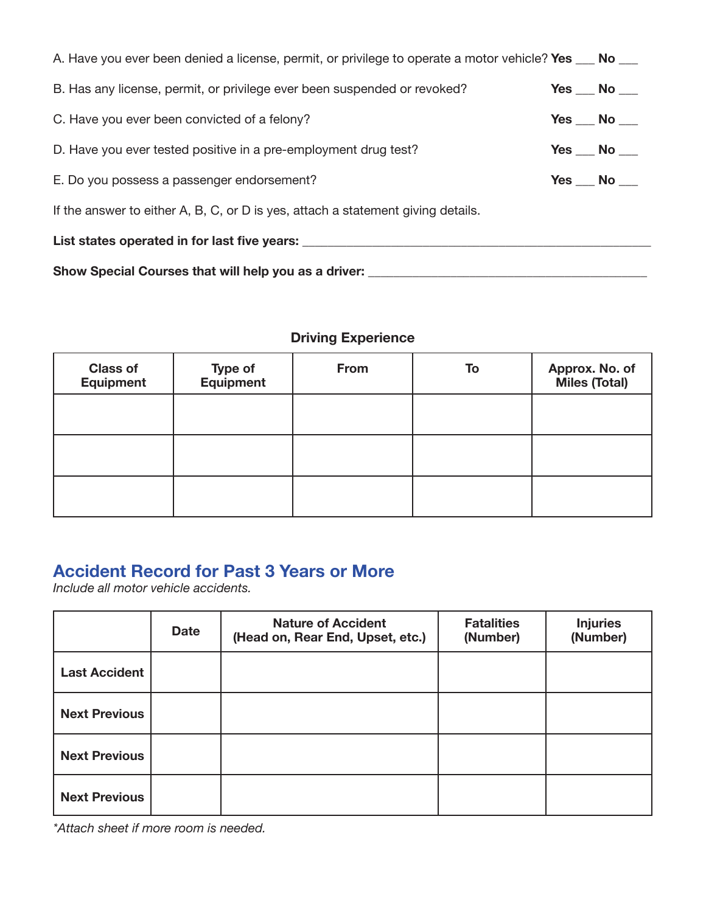| Show Special Courses that will help you as a driver:                                                    |                     |
|---------------------------------------------------------------------------------------------------------|---------------------|
| List states operated in for last five years:                                                            |                     |
| If the answer to either A, B, C, or D is yes, attach a statement giving details.                        |                     |
| E. Do you possess a passenger endorsement?                                                              | Yes No              |
| D. Have you ever tested positive in a pre-employment drug test?                                         | Yes $\_\,$ No $\_\$ |
| C. Have you ever been convicted of a felony?                                                            | Yes No              |
| B. Has any license, permit, or privilege ever been suspended or revoked?                                | Yes No              |
| A. Have you ever been denied a license, permit, or privilege to operate a motor vehicle? Yes ___ No ___ |                     |

#### **Driving Experience**

| <b>Class of</b><br><b>Equipment</b> | Type of<br>Equipment | From | To | Approx. No. of<br>Miles (Total) |
|-------------------------------------|----------------------|------|----|---------------------------------|
|                                     |                      |      |    |                                 |
|                                     |                      |      |    |                                 |
|                                     |                      |      |    |                                 |

### **Accident Record for Past 3 Years or More**

*Include all motor vehicle accidents.* 

|                      | <b>Date</b> | <b>Nature of Accident</b><br>(Head on, Rear End, Upset, etc.) | <b>Fatalities</b><br>(Number) | <b>Injuries</b><br>(Number) |
|----------------------|-------------|---------------------------------------------------------------|-------------------------------|-----------------------------|
| <b>Last Accident</b> |             |                                                               |                               |                             |
| <b>Next Previous</b> |             |                                                               |                               |                             |
| <b>Next Previous</b> |             |                                                               |                               |                             |
| <b>Next Previous</b> |             |                                                               |                               |                             |

*\*Attach sheet if more room is needed.*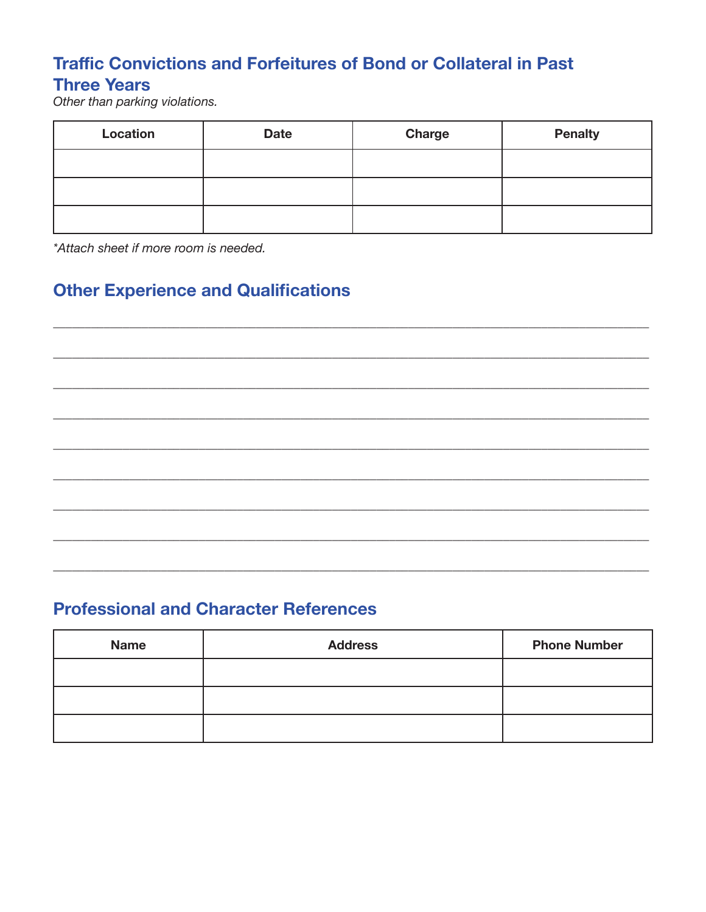### **Traffic Convictions and Forfeitures of Bond or Collateral in Past Three Years**

Other than parking violations.

| Location | <b>Date</b> | <b>Charge</b> | <b>Penalty</b> |
|----------|-------------|---------------|----------------|
|          |             |               |                |
|          |             |               |                |
|          |             |               |                |

\*Attach sheet if more room is needed.

# **Other Experience and Qualifications**

### **Professional and Character References**

| <b>Name</b> | <b>Address</b> | <b>Phone Number</b> |
|-------------|----------------|---------------------|
|             |                |                     |
|             |                |                     |
|             |                |                     |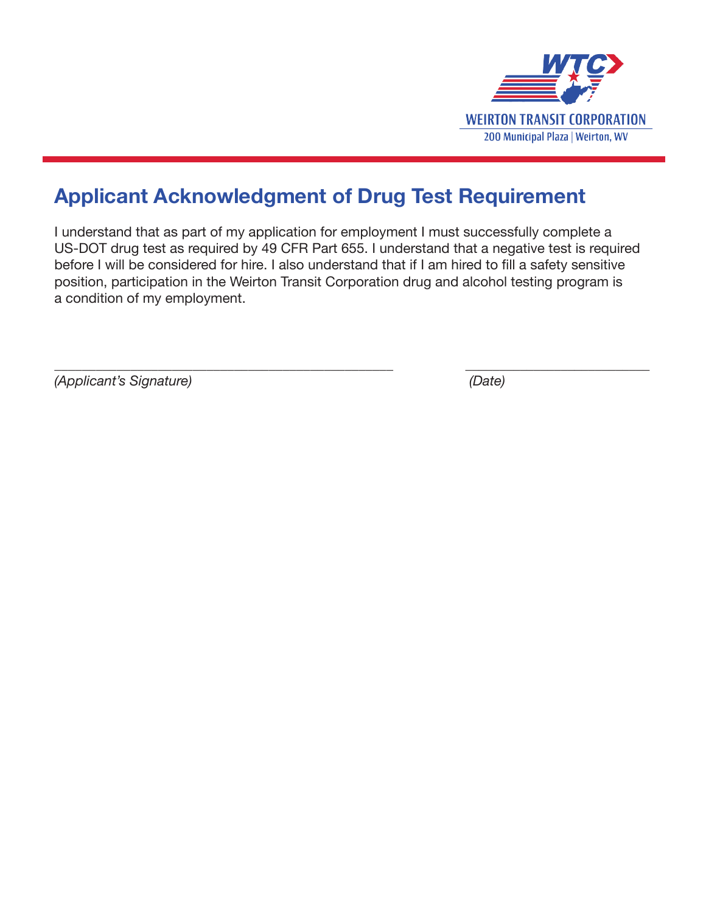

# **Applicant Acknowledgment of Drug Test Requirement**

I understand that as part of my application for employment I must successfully complete a US-DOT drug test as required by 49 CFR Part 655. I understand that a negative test is required before I will be considered for hire. I also understand that if I am hired to fill a safety sensitive position, participation in the Weirton Transit Corporation drug and alcohol testing program is a condition of my employment.

\_\_\_\_\_\_\_\_\_\_\_\_\_\_\_\_\_\_\_\_\_\_\_\_\_\_\_\_\_\_\_\_\_\_\_\_\_\_\_\_\_\_\_\_\_\_\_\_\_ \_\_\_\_\_\_\_\_\_\_\_\_\_\_\_\_\_\_\_\_\_\_\_\_\_\_\_ *(Applicant's Signature) (Date)*